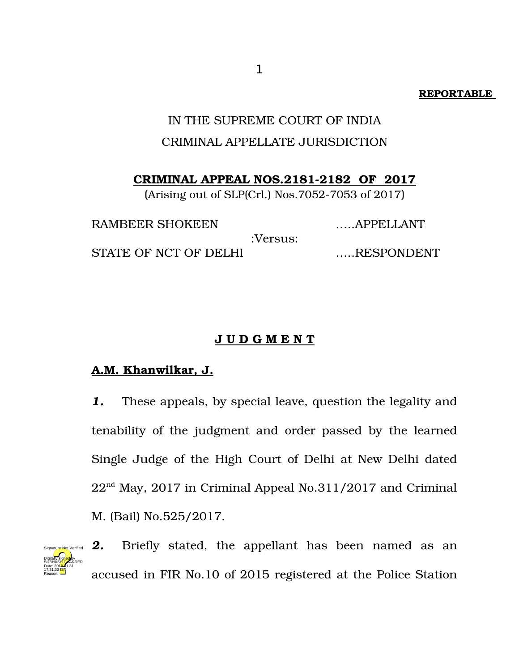### **REPORTABLE**

# IN THE SUPREME COURT OF INDIA CRIMINAL APPELLATE JURISDICTION

**CRIMINAL APPEAL NOS.2181-2182 OF 2017** 

(Arising out of SLP(Crl.) Nos.7052-7053 of  $2017$ )

RAMBEER SHOKEEN ......APPELLANT :Versus: STATE OF NCT OF DELHI EXAMPLE EXAMPLE STATE OF NCT OF DELHI

## **J U D G M E N T**

# **A.M. Khanwilkar, J.**

*1.* These appeals, by special leave, question the legality and tenability of the judgment and order passed by the learned Single Judge of the High Court of Delhi at New Delhi dated 22nd May, 2017 in Criminal Appeal No.311/2017 and Criminal M. (Bail) No.525/2017.



**2.** Briefly stated, the appellant has been named as an accused in FIR No.10 of 2015 registered at the Police Station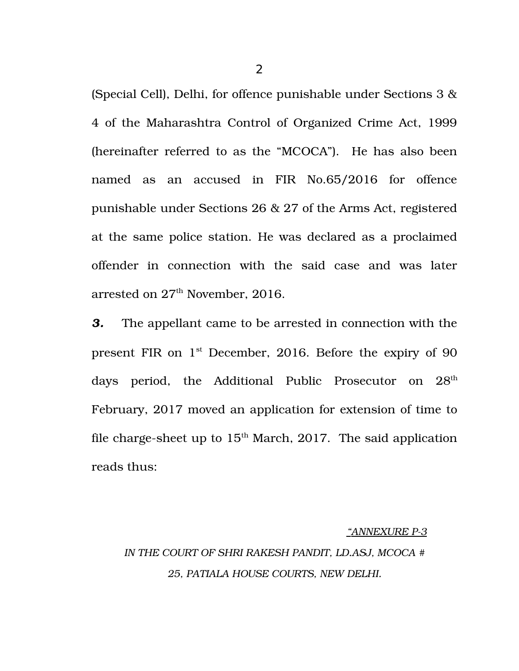(Special Cell), Delhi, for offence punishable under Sections 3 & 4 of the Maharashtra Control of Organized Crime Act, 1999 (hereinafter referred to as the "MCOCA"). He has also been named as an accused in FIR No.65/2016 for offence punishable under Sections 26 & 27 of the Arms Act, registered at the same police station. He was declared as a proclaimed offender in connection with the said case and was later arrested on  $27<sup>th</sup>$  November, 2016.

*3.* The appellant came to be arrested in connection with the present FIR on 1<sup>st</sup> December, 2016. Before the expiry of 90 days period, the Additional Public Prosecutor on 28<sup>th</sup> February, 2017 moved an application for extension of time to file charge-sheet up to  $15<sup>th</sup>$  March, 2017. The said application reads thus:

#### *"ANNEXURE P3*

# *IN THE COURT OF SHRI RAKESH PANDIT, LD.ASJ, MCOCA # 25, PATIALA HOUSE COURTS, NEW DELHI.*

2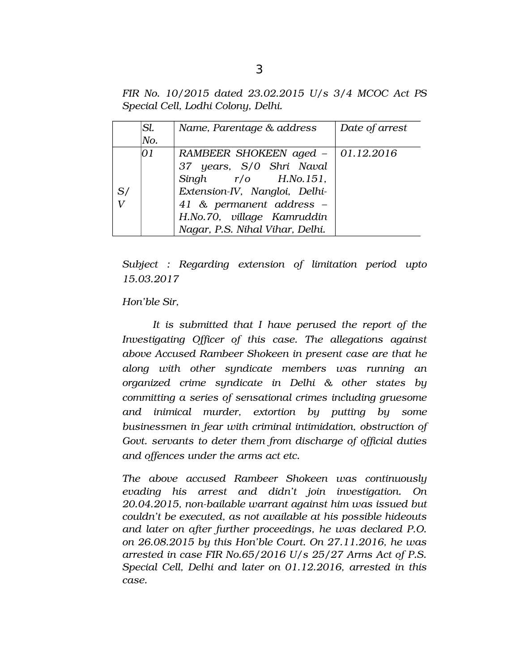*FIR No. 10/2015 dated 23.02.2015 U/s 3/4 MCOC Act PS Special Cell, Lodhi Colony, Delhi.*

|    | Sl. | Name, Parentage & address           | Date of arrest |
|----|-----|-------------------------------------|----------------|
|    | No. |                                     |                |
|    | 01  | RAMBEER SHOKEEN aged $-$ 01.12.2016 |                |
|    |     | 37 years, S/0 Shri Naval            |                |
|    |     | Singh $r/o$ H.No.151,               |                |
| S/ |     | Extension-IV, Nangloi, Delhi-       |                |
|    |     | 41 & permanent address -            |                |
|    |     | H.No.70, village Kamruddin          |                |
|    |     | Nagar, P.S. Nihal Vihar, Delhi.     |                |

*Subject : Regarding extension of limitation period upto 15.03.2017*

*Hon'ble Sir,*

*It is submitted that I have perused the report of the Investigating Officer of this case. The allegations against above Accused Rambeer Shokeen in present case are that he along with other syndicate members was running an organized crime syndicate in Delhi & other states by committing a series of sensational crimes including gruesome and inimical murder, extortion by putting by some businessmen in fear with criminal intimidation, obstruction of Govt. servants to deter them from discharge of official duties and offences under the arms act etc.*

*The above accused Rambeer Shokeen was continuously evading his arrest and didn't join investigation. On 20.04.2015, nonbailable warrant against him was issued but couldn't be executed, as not available at his possible hideouts and later on after further proceedings, he was declared P.O. on 26.08.2015 by this Hon'ble Court. On 27.11.2016, he was arrested in case FIR No.65/2016 U/s 25/27 Arms Act of P.S. Special Cell, Delhi and later on 01.12.2016, arrested in this case.*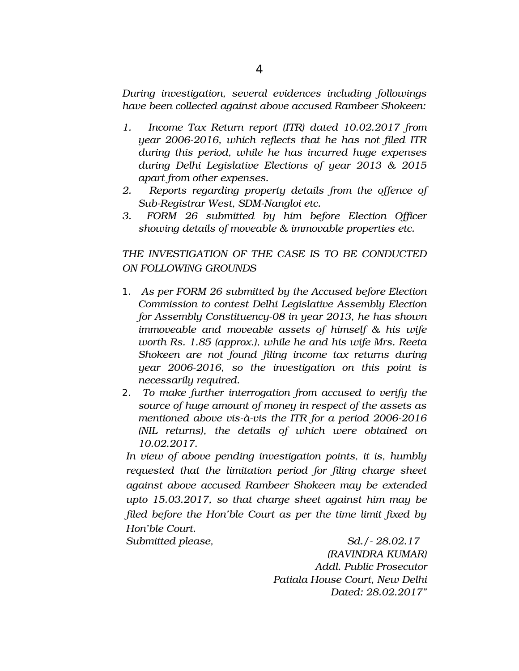*During investigation, several evidences including followings have been collected against above accused Rambeer Shokeen:*

- *1. Income Tax Return report (ITR) dated 10.02.2017 from year 20062016, which reflects that he has not filed ITR during this period, while he has incurred huge expenses during Delhi Legislative Elections of year 2013 & 2015 apart from other expenses.*
- *2. Reports regarding property details from the offence of* Sub-Registrar West, SDM-Nangloi etc.
- *3. FORM 26 submitted by him before Election Officer showing details of moveable & immovable properties etc.*

*THE INVESTIGATION OF THE CASE IS TO BE CONDUCTED ON FOLLOWING GROUNDS*

- 1. *As per FORM 26 submitted by the Accused before Election Commission to contest Delhi Legislative Assembly Election for Assembly Constituency-08 in year 2013, he has shown immoveable and moveable assets of himself & his wife worth Rs. 1.85 (approx.), while he and his wife Mrs. Reeta Shokeen are not found filing income tax returns during year 20062016, so the investigation on this point is necessarily required.*
- 2. *To make further interrogation from accused to verify the source of huge amount of money in respect of the assets as* mentioned above vis-à-vis the ITR for a period 2006-2016 *(NIL returns), the details of which were obtained on 10.02.2017.*

*In view of above pending investigation points, it is, humbly requested that the limitation period for filing charge sheet against above accused Rambeer Shokeen may be extended upto 15.03.2017, so that charge sheet against him may be filed before the Hon'ble Court as per the time limit fixed by Hon'ble Court.*

*Submitted please, Sd./ 28.02.17 (RAVINDRA KUMAR) Addl. Public Prosecutor Patiala House Court, New Delhi Dated: 28.02.2017"*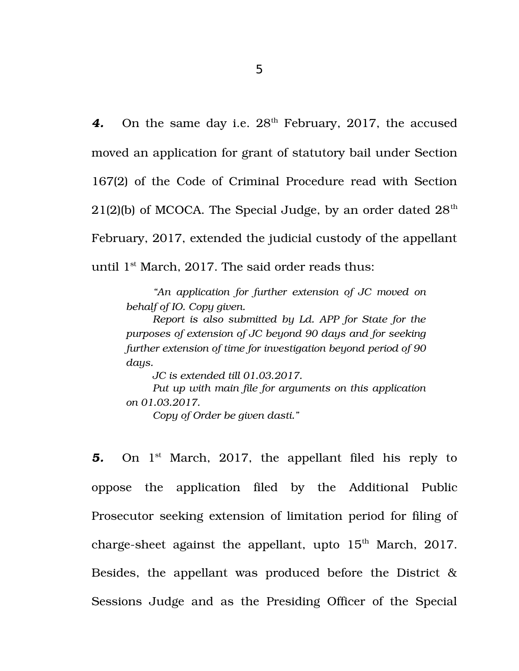5

4. On the same day i.e.  $28<sup>th</sup>$  February, 2017, the accused moved an application for grant of statutory bail under Section 167(2) of the Code of Criminal Procedure read with Section 21(2)(b) of MCOCA. The Special Judge, by an order dated  $28<sup>th</sup>$ February, 2017, extended the judicial custody of the appellant until  $1<sup>st</sup>$  March, 2017. The said order reads thus:

*"An application for further extension of JC moved on behalf of IO. Copy given.*

*Report is also submitted by Ld. APP for State for the purposes of extension of JC beyond 90 days and for seeking further extension of time for investigation beyond period of 90 days.*

*JC is extended till 01.03.2017. Put up with main file for arguments on this application on 01.03.2017. Copy of Order be given dasti."*

**5.** On 1<sup>st</sup> March, 2017, the appellant filed his reply to oppose the application filed by the Additional Public Prosecutor seeking extension of limitation period for filing of charge-sheet against the appellant, upto  $15<sup>th</sup>$  March, 2017. Besides, the appellant was produced before the District  $\&$ Sessions Judge and as the Presiding Officer of the Special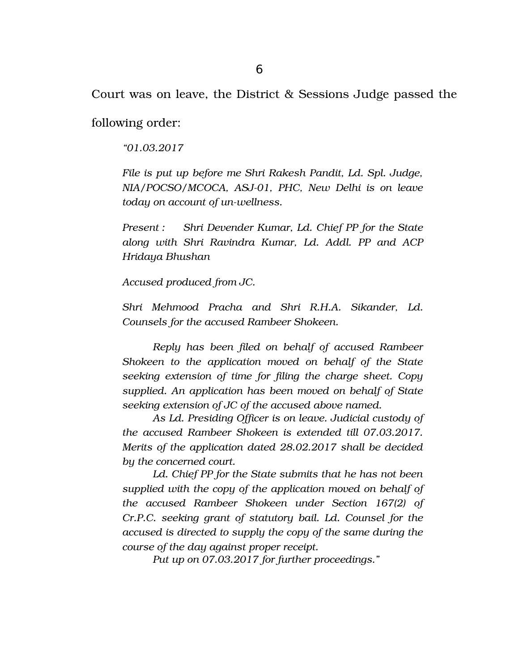Court was on leave, the District & Sessions Judge passed the

following order:

*"01.03.2017*

*File is put up before me Shri Rakesh Pandit, Ld. Spl. Judge, NIA/POCSO/MCOCA, ASJ-01, PHC, New Delhi is on leave today on account of un-wellness.* 

*Present : Shri Devender Kumar, Ld. Chief PP for the State along with Shri Ravindra Kumar, Ld. Addl. PP and ACP Hridaya Bhushan*

*Accused produced from JC.*

*Shri Mehmood Pracha and Shri R.H.A. Sikander, Ld. Counsels for the accused Rambeer Shokeen.*

*Reply has been filed on behalf of accused Rambeer Shokeen to the application moved on behalf of the State seeking extension of time for filing the charge sheet. Copy supplied. An application has been moved on behalf of State seeking extension of JC of the accused above named.*

*As Ld. Presiding Officer is on leave. Judicial custody of the accused Rambeer Shokeen is extended till 07.03.2017. Merits of the application dated 28.02.2017 shall be decided by the concerned court.*

*Ld. Chief PP for the State submits that he has not been supplied with the copy of the application moved on behalf of the accused Rambeer Shokeen under Section 167(2) of Cr.P.C. seeking grant of statutory bail. Ld. Counsel for the accused is directed to supply the copy of the same during the course of the day against proper receipt.*

*Put up on 07.03.2017 for further proceedings."*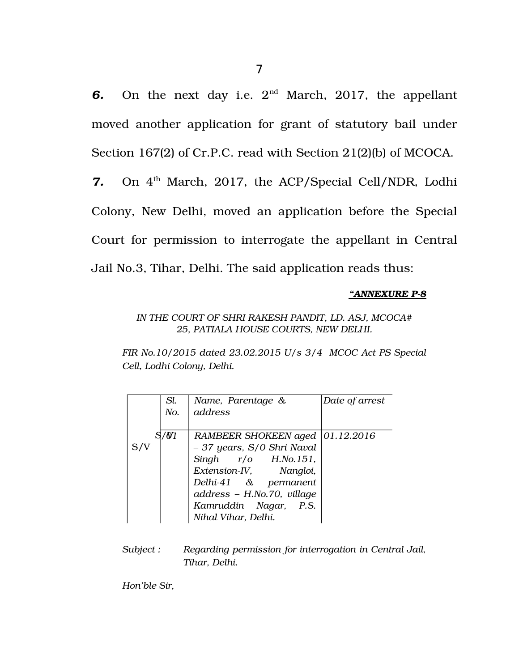**6.** On the next day i.e.  $2^{nd}$  March, 2017, the appellant moved another application for grant of statutory bail under Section 167(2) of Cr.P.C. read with Section 21(2)(b) of MCOCA.

7. On 4<sup>th</sup> March, 2017, the ACP/Special Cell/NDR, Lodhi Colony, New Delhi, moved an application before the Special Court for permission to interrogate the appellant in Central Jail No.3, Tihar, Delhi. The said application reads thus:

### *"ANNEXURE P8*

### *IN THE COURT OF SHRI RAKESH PANDIT, LD. ASJ, MCOCA# 25, PATIALA HOUSE COURTS, NEW DELHI.*

*FIR No.10/2015 dated 23.02.2015 U/s 3/4 MCOC Act PS Special Cell, Lodhi Colony, Delhi.*

| Sl.  | Name, Parentage &                 | Date of arrest |
|------|-----------------------------------|----------------|
| No.  | address                           |                |
|      |                                   |                |
| /0/1 | RAMBEER SHOKEEN aged   01.12.2016 |                |
|      | - 37 years, S/0 Shri Naval        |                |
|      | Singh $r/o$ H.No.151,             |                |
|      | Extension-IV, Nangloi,            |                |
|      | Delhi-41 & permanent              |                |
|      | address - H.No.70, village        |                |
|      | Kamruddin Nagar, P.S.             |                |
|      | Nihal Vihar, Delhi.               |                |

*Subject : Regarding permission for interrogation in Central Jail, Tihar, Delhi.* 

*Hon'ble Sir,*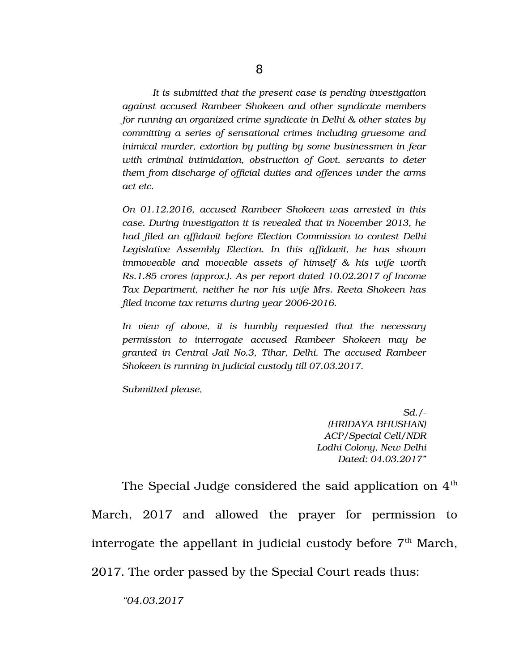*It is submitted that the present case is pending investigation against accused Rambeer Shokeen and other syndicate members for running an organized crime syndicate in Delhi & other states by committing a series of sensational crimes including gruesome and inimical murder, extortion by putting by some businessmen in fear with criminal intimidation, obstruction of Govt. servants to deter them from discharge of official duties and offences under the arms act etc.*

*On 01.12.2016, accused Rambeer Shokeen was arrested in this case. During investigation it is revealed that in November 2013, he had filed an affidavit before Election Commission to contest Delhi Legislative Assembly Election. In this affidavit, he has shown immoveable and moveable assets of himself & his wife worth Rs.1.85 crores (approx.). As per report dated 10.02.2017 of Income Tax Department, neither he nor his wife Mrs. Reeta Shokeen has filed income tax returns during year 20062016.*

*In view of above, it is humbly requested that the necessary permission to interrogate accused Rambeer Shokeen may be granted in Central Jail No.3, Tihar, Delhi. The accused Rambeer Shokeen is running in judicial custody till 07.03.2017.*

*Submitted please,* 

*Sd./ (HRIDAYA BHUSHAN) ACP/Special Cell/NDR Lodhi Colony, New Delhi Dated: 04.03.2017"*

The Special Judge considered the said application on  $4<sup>th</sup>$ March, 2017 and allowed the prayer for permission to interrogate the appellant in judicial custody before  $7<sup>th</sup>$  March, 2017. The order passed by the Special Court reads thus:

*"04.03.2017*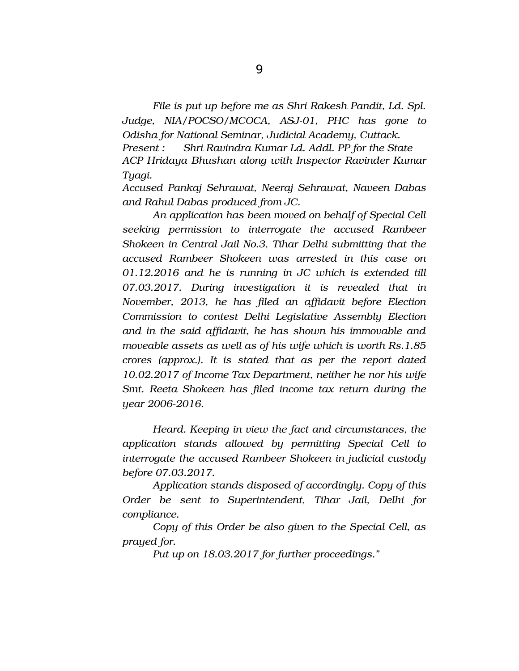*File is put up before me as Shri Rakesh Pandit, Ld. Spl. Judge, NIA/POCSO/MCOCA, ASJ-01, PHC has gone to Odisha for National Seminar, Judicial Academy, Cuttack. Present : Shri Ravindra Kumar Ld. Addl. PP for the State ACP Hridaya Bhushan along with Inspector Ravinder Kumar Tyagi.*

*Accused Pankaj Sehrawat, Neeraj Sehrawat, Naveen Dabas and Rahul Dabas produced from JC.*

*An application has been moved on behalf of Special Cell seeking permission to interrogate the accused Rambeer Shokeen in Central Jail No.3, Tihar Delhi submitting that the accused Rambeer Shokeen was arrested in this case on 01.12.2016 and he is running in JC which is extended till 07.03.2017. During investigation it is revealed that in November, 2013, he has filed an affidavit before Election Commission to contest Delhi Legislative Assembly Election and in the said affidavit, he has shown his immovable and moveable assets as well as of his wife which is worth Rs.1.85 crores (approx.). It is stated that as per the report dated 10.02.2017 of Income Tax Department, neither he nor his wife Smt. Reeta Shokeen has filed income tax return during the year 20062016.*

*Heard. Keeping in view the fact and circumstances, the application stands allowed by permitting Special Cell to interrogate the accused Rambeer Shokeen in judicial custody before 07.03.2017.*

*Application stands disposed of accordingly. Copy of this Order be sent to Superintendent, Tihar Jail, Delhi for compliance.*

*Copy of this Order be also given to the Special Cell, as prayed for.*

*Put up on 18.03.2017 for further proceedings."*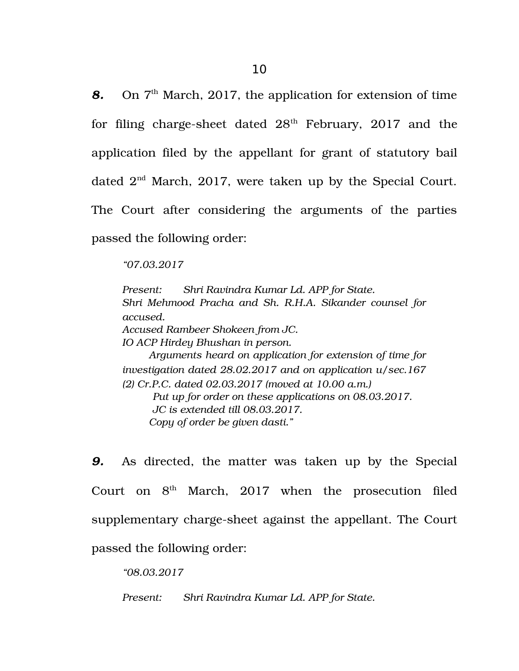**8.** On 7<sup>th</sup> March, 2017, the application for extension of time for filing charge-sheet dated  $28<sup>th</sup>$  February, 2017 and the application filed by the appellant for grant of statutory bail dated  $2<sup>nd</sup>$  March, 2017, were taken up by the Special Court. The Court after considering the arguments of the parties passed the following order:

*"07.03.2017*

*Present: Shri Ravindra Kumar Ld. APP for State. Shri Mehmood Pracha and Sh. R.H.A. Sikander counsel for accused. Accused Rambeer Shokeen from JC. IO ACP Hirdey Bhushan in person. Arguments heard on application for extension of time for investigation dated 28.02.2017 and on application u/sec.167 (2) Cr.P.C. dated 02.03.2017 (moved at 10.00 a.m.) Put up for order on these applications on 08.03.2017. JC is extended till 08.03.2017. Copy of order be given dasti."*

**9.** As directed, the matter was taken up by the Special Court on  $8<sup>th</sup>$  March, 2017 when the prosecution filed supplementary charge-sheet against the appellant. The Court passed the following order:

*"08.03.2017*

*Present: Shri Ravindra Kumar Ld. APP for State.*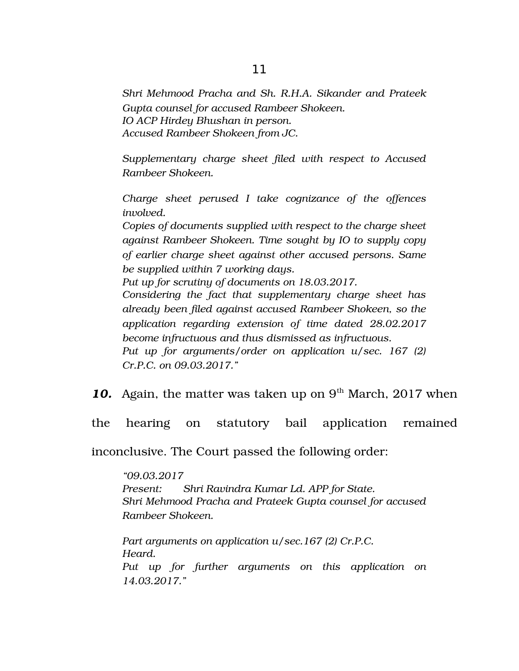*Shri Mehmood Pracha and Sh. R.H.A. Sikander and Prateek Gupta counsel for accused Rambeer Shokeen. IO ACP Hirdey Bhushan in person. Accused Rambeer Shokeen from JC.*

*Supplementary charge sheet filed with respect to Accused Rambeer Shokeen.*

*Charge sheet perused I take cognizance of the offences involved.*

*Copies of documents supplied with respect to the charge sheet against Rambeer Shokeen. Time sought by IO to supply copy of earlier charge sheet against other accused persons. Same be supplied within 7 working days.*

*Put up for scrutiny of documents on 18.03.2017.*

*Considering the fact that supplementary charge sheet has already been filed against accused Rambeer Shokeen, so the application regarding extension of time dated 28.02.2017 become infructuous and thus dismissed as infructuous. Put up for arguments/order on application u/sec. 167 (2)*

*Cr.P.C. on 09.03.2017."*

**10.** Again, the matter was taken up on 9<sup>th</sup> March, 2017 when

the hearing on statutory bail application remained

inconclusive. The Court passed the following order:

*"09.03.2017 Present: Shri Ravindra Kumar Ld. APP for State. Shri Mehmood Pracha and Prateek Gupta counsel for accused Rambeer Shokeen.*

*Part arguments on application u/sec.167 (2) Cr.P.C. Heard. Put up for further arguments on this application on 14.03.2017."*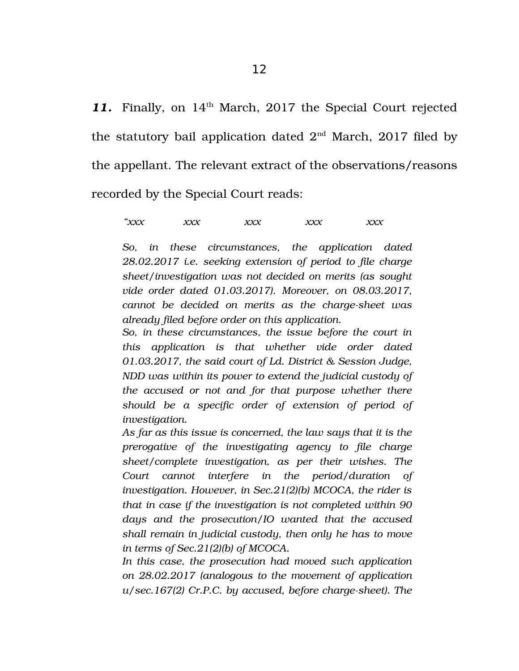11. Finally, on 14<sup>th</sup> March, 2017 the Special Court rejected the statutory bail application dated  $2<sup>nd</sup>$  March, 2017 filed by the appellant. The relevant extract of the observations/reasons recorded by the Special Court reads:

*"xxx xxx xxx xxx xxx*

*So, in these circumstances, the application dated 28.02.2017 i.e. seeking extension of period to file charge sheet/investigation was not decided on merits (as sought vide order dated 01.03.2017). Moreover, on 08.03.2017, cannot be decided on merits as the charge-sheet was already filed before order on this application.*

*So, in these circumstances, the issue before the court in this application is that whether vide order dated 01.03.2017, the said court of Ld. District & Session Judge, NDD was within its power to extend the judicial custody of the accused or not and for that purpose whether there should be a specific order of extension of period of investigation.*

*As far as this issue is concerned, the law says that it is the prerogative of the investigating agency to file charge sheet/complete investigation, as per their wishes. The Court cannot interfere in the period/duration of investigation. However, in Sec.21(2)(b) MCOCA, the rider is that in case if the investigation is not completed within 90 days and the prosecution/IO wanted that the accused shall remain in judicial custody, then only he has to move in terms of Sec.21(2)(b) of MCOCA.*

*In this case, the prosecution had moved such application on 28.02.2017 (analogous to the movement of application u/sec.167(2) Cr.P.C. by accused, before charge-sheet). The*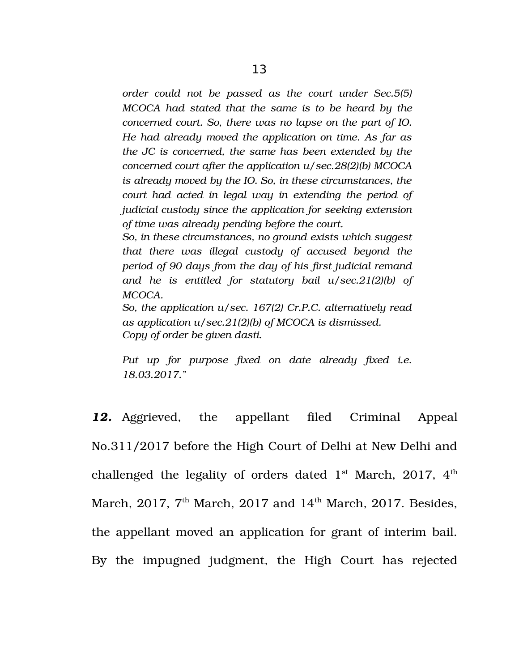*order could not be passed as the court under Sec.5(5) MCOCA had stated that the same is to be heard by the concerned court. So, there was no lapse on the part of IO. He had already moved the application on time. As far as the JC is concerned, the same has been extended by the concerned court after the application u/sec.28(2)(b) MCOCA is already moved by the IO. So, in these circumstances, the court had acted in legal way in extending the period of judicial custody since the application for seeking extension of time was already pending before the court.*

*So, in these circumstances, no ground exists which suggest that there was illegal custody of accused beyond the period of 90 days from the day of his first judicial remand and he is entitled for statutory bail u/sec.21(2)(b) of MCOCA.*

*So, the application u/sec. 167(2) Cr.P.C. alternatively read as application u/sec.21(2)(b) of MCOCA is dismissed. Copy of order be given dasti.*

*Put up for purpose fixed on date already fixed i.e. 18.03.2017."* 

*12.* Aggrieved, the appellant filed Criminal Appeal No.311/2017 before the High Court of Delhi at New Delhi and challenged the legality of orders dated  $1<sup>st</sup>$  March, 2017,  $4<sup>th</sup>$ March, 2017,  $7<sup>th</sup>$  March, 2017 and 14<sup>th</sup> March, 2017. Besides, the appellant moved an application for grant of interim bail. By the impugned judgment, the High Court has rejected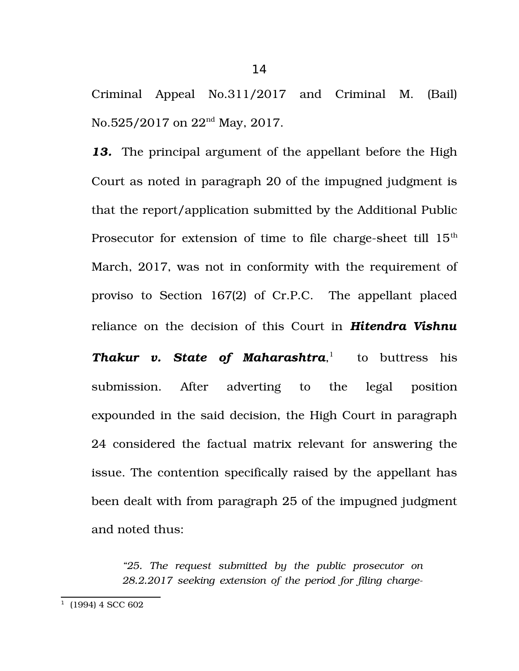Criminal Appeal No.311/2017 and Criminal M. (Bail) No.525/2017 on 22<sup>nd</sup> May, 2017.

*13.* The principal argument of the appellant before the High Court as noted in paragraph 20 of the impugned judgment is that the report/application submitted by the Additional Public Prosecutor for extension of time to file charge-sheet till  $15<sup>th</sup>$ March, 2017, was not in conformity with the requirement of proviso to Section 167(2) of Cr.P.C. The appellant placed reliance on the decision of this Court in *Hitendra Vishnu Thakur v. State of Maharashtra*, [1](#page-13-0) to buttress his submission. After adverting to the legal position expounded in the said decision, the High Court in paragraph 24 considered the factual matrix relevant for answering the issue. The contention specifically raised by the appellant has been dealt with from paragraph 25 of the impugned judgment and noted thus:

*"25. The request submitted by the public prosecutor on 28.2.2017 seeking extension of the period for filing charge-*

<span id="page-13-0"></span> $1$  (1994) 4 SCC 602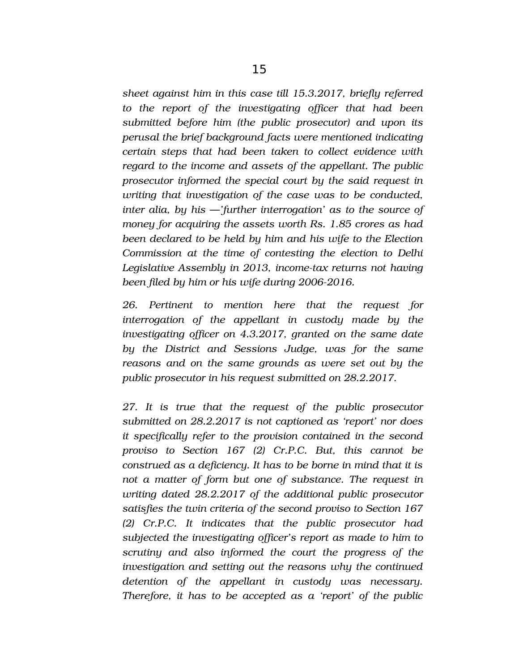*sheet against him in this case till 15.3.2017, briefly referred to the report of the investigating officer that had been submitted before him (the public prosecutor) and upon its perusal the brief background facts were mentioned indicating certain steps that had been taken to collect evidence with regard to the income and assets of the appellant. The public prosecutor informed the special court by the said request in writing that investigation of the case was to be conducted, inter alia, by his* ―*'further interrogation' as to the source of money for acquiring the assets worth Rs. 1.85 crores as had been declared to be held by him and his wife to the Election Commission at the time of contesting the election to Delhi Legislative Assembly in 2013, incometax returns not having been filed by him or his wife during 2006-2016.* 

*26. Pertinent to mention here that the request for interrogation of the appellant in custody made by the investigating officer on 4.3.2017, granted on the same date by the District and Sessions Judge, was for the same reasons and on the same grounds as were set out by the public prosecutor in his request submitted on 28.2.2017.* 

*27. It is true that the request of the public prosecutor submitted on 28.2.2017 is not captioned as 'report' nor does it specifically refer to the provision contained in the second proviso to Section 167 (2) Cr.P.C. But, this cannot be construed as a deficiency. It has to be borne in mind that it is not a matter of form but one of substance. The request in writing dated 28.2.2017 of the additional public prosecutor satisfies the twin criteria of the second proviso to Section 167 (2) Cr.P.C. It indicates that the public prosecutor had subjected the investigating officer's report as made to him to scrutiny and also informed the court the progress of the investigation and setting out the reasons why the continued detention of the appellant in custody was necessary. Therefore, it has to be accepted as a 'report' of the public*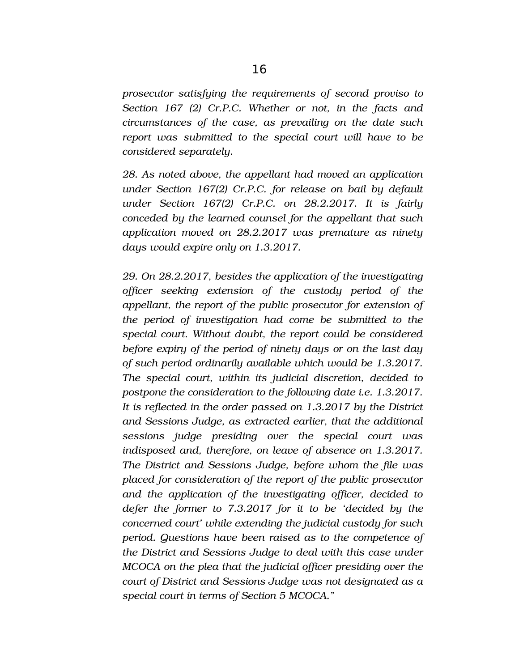*prosecutor satisfying the requirements of second proviso to Section 167 (2) Cr.P.C. Whether or not, in the facts and circumstances of the case, as prevailing on the date such report was submitted to the special court will have to be considered separately.* 

*28. As noted above, the appellant had moved an application under Section 167(2) Cr.P.C. for release on bail by default under Section 167(2) Cr.P.C. on 28.2.2017. It is fairly conceded by the learned counsel for the appellant that such application moved on 28.2.2017 was premature as ninety days would expire only on 1.3.2017.* 

*29. On 28.2.2017, besides the application of the investigating officer seeking extension of the custody period of the appellant, the report of the public prosecutor for extension of the period of investigation had come be submitted to the special court. Without doubt, the report could be considered before expiry of the period of ninety days or on the last day of such period ordinarily available which would be 1.3.2017. The special court, within its judicial discretion, decided to postpone the consideration to the following date i.e. 1.3.2017. It is reflected in the order passed on 1.3.2017 by the District and Sessions Judge, as extracted earlier, that the additional sessions judge presiding over the special court was indisposed and, therefore, on leave of absence on 1.3.2017. The District and Sessions Judge, before whom the file was placed for consideration of the report of the public prosecutor and the application of the investigating officer, decided to defer the former to 7.3.2017 for it to be 'decided by the concerned court' while extending the judicial custody for such period. Questions have been raised as to the competence of the District and Sessions Judge to deal with this case under MCOCA on the plea that the judicial officer presiding over the court of District and Sessions Judge was not designated as a special court in terms of Section 5 MCOCA."*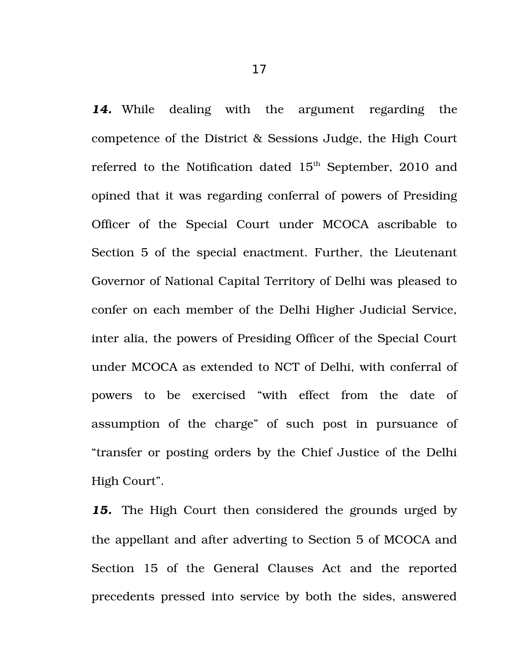14. While dealing with the argument regarding the competence of the District & Sessions Judge, the High Court referred to the Notification dated 15<sup>th</sup> September, 2010 and opined that it was regarding conferral of powers of Presiding Officer of the Special Court under MCOCA ascribable to Section 5 of the special enactment. Further, the Lieutenant Governor of National Capital Territory of Delhi was pleased to confer on each member of the Delhi Higher Judicial Service, inter alia, the powers of Presiding Officer of the Special Court under MCOCA as extended to NCT of Delhi, with conferral of powers to be exercised "with effect from the date of assumption of the charge" of such post in pursuance of "transfer or posting orders by the Chief Justice of the Delhi High Court".

*15.* The High Court then considered the grounds urged by the appellant and after adverting to Section 5 of MCOCA and Section 15 of the General Clauses Act and the reported precedents pressed into service by both the sides, answered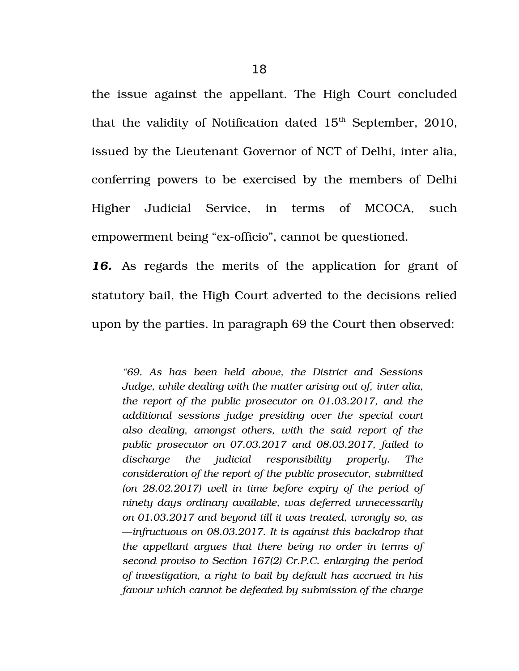the issue against the appellant. The High Court concluded that the validity of Notification dated  $15<sup>th</sup>$  September, 2010, issued by the Lieutenant Governor of NCT of Delhi, inter alia, conferring powers to be exercised by the members of Delhi Higher Judicial Service, in terms of MCOCA, such empowerment being "ex-officio", cannot be questioned.

16. As regards the merits of the application for grant of statutory bail, the High Court adverted to the decisions relied upon by the parties. In paragraph 69 the Court then observed:

*"69. As has been held above, the District and Sessions Judge, while dealing with the matter arising out of, inter alia, the report of the public prosecutor on 01.03.2017, and the additional sessions judge presiding over the special court also dealing, amongst others, with the said report of the public prosecutor on 07.03.2017 and 08.03.2017, failed to discharge the judicial responsibility properly. The consideration of the report of the public prosecutor, submitted (on 28.02.2017) well in time before expiry of the period of ninety days ordinary available, was deferred unnecessarily on 01.03.2017 and beyond till it was treated, wrongly so, as* ―*infructuous on 08.03.2017. It is against this backdrop that the appellant argues that there being no order in terms of second proviso to Section 167(2) Cr.P.C. enlarging the period of investigation, a right to bail by default has accrued in his favour which cannot be defeated by submission of the charge*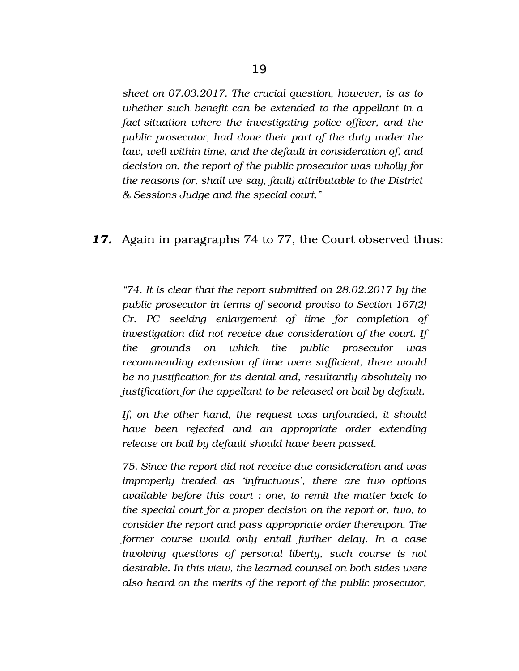*sheet on 07.03.2017. The crucial question, however, is as to whether such benefit can be extended to the appellant in a*

*fact-situation where the investigating police officer, and the public prosecutor, had done their part of the duty under the law, well within time, and the default in consideration of, and decision on, the report of the public prosecutor was wholly for the reasons (or, shall we say, fault) attributable to the District & Sessions Judge and the special court."* 

## *17.* Again in paragraphs 74 to 77, the Court observed thus:

*"74. It is clear that the report submitted on 28.02.2017 by the public prosecutor in terms of second proviso to Section 167(2) Cr. PC seeking enlargement of time for completion of investigation did not receive due consideration of the court. If the grounds on which the public prosecutor was recommending extension of time were sufficient, there would be no justification for its denial and, resultantly absolutely no justification for the appellant to be released on bail by default.*

*If, on the other hand, the request was unfounded, it should have been rejected and an appropriate order extending release on bail by default should have been passed.* 

*75. Since the report did not receive due consideration and was improperly treated as 'infructuous', there are two options available before this court : one, to remit the matter back to the special court for a proper decision on the report or, two, to consider the report and pass appropriate order thereupon. The former course would only entail further delay. In a case involving questions of personal liberty, such course is not desirable. In this view, the learned counsel on both sides were also heard on the merits of the report of the public prosecutor,*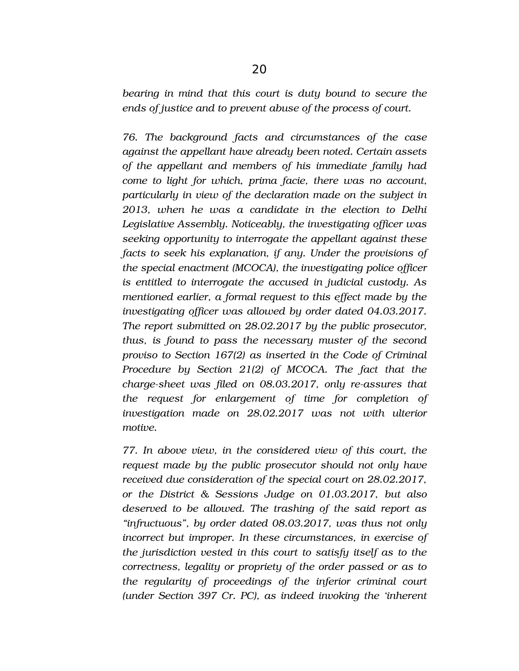*bearing in mind that this court is duty bound to secure the ends of justice and to prevent abuse of the process of court.* 

*76. The background facts and circumstances of the case against the appellant have already been noted. Certain assets of the appellant and members of his immediate family had come to light for which, prima facie, there was no account, particularly in view of the declaration made on the subject in 2013, when he was a candidate in the election to Delhi Legislative Assembly. Noticeably, the investigating officer was seeking opportunity to interrogate the appellant against these facts to seek his explanation, if any. Under the provisions of the special enactment (MCOCA), the investigating police officer is entitled to interrogate the accused in judicial custody. As mentioned earlier, a formal request to this effect made by the investigating officer was allowed by order dated 04.03.2017. The report submitted on 28.02.2017 by the public prosecutor, thus, is found to pass the necessary muster of the second proviso to Section 167(2) as inserted in the Code of Criminal Procedure by Section 21(2) of MCOCA. The fact that the charge-sheet was filed on 08.03.2017, only re-assures that the request for enlargement of time for completion of investigation made on 28.02.2017 was not with ulterior motive.* 

*77. In above view, in the considered view of this court, the request made by the public prosecutor should not only have received due consideration of the special court on 28.02.2017, or the District & Sessions Judge on 01.03.2017, but also deserved to be allowed. The trashing of the said report as "infructuous", by order dated 08.03.2017, was thus not only incorrect but improper. In these circumstances, in exercise of the jurisdiction vested in this court to satisfy itself as to the correctness, legality or propriety of the order passed or as to the regularity of proceedings of the inferior criminal court (under Section 397 Cr. PC), as indeed invoking the 'inherent*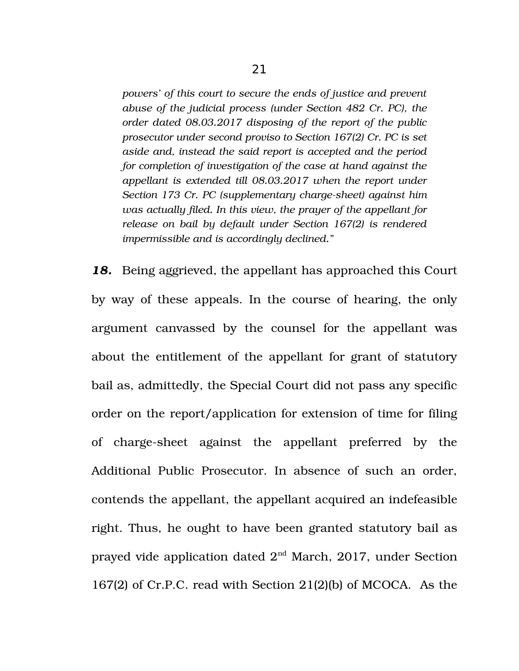*powers' of this court to secure the ends of justice and prevent abuse of the judicial process (under Section 482 Cr. PC), the order dated 08.03.2017 disposing of the report of the public prosecutor under second proviso to Section 167(2) Cr. PC is set aside and, instead the said report is accepted and the period for completion of investigation of the case at hand against the appellant is extended till 08.03.2017 when the report under* Section 173 Cr. PC (supplementary charge-sheet) against him *was actually filed. In this view, the prayer of the appellant for release on bail by default under Section 167(2) is rendered impermissible and is accordingly declined."*

*18.* Being aggrieved, the appellant has approached this Court by way of these appeals. In the course of hearing, the only argument canvassed by the counsel for the appellant was about the entitlement of the appellant for grant of statutory bail as, admittedly, the Special Court did not pass any specific order on the report/application for extension of time for filing of charge-sheet against the appellant preferred by the Additional Public Prosecutor. In absence of such an order, contends the appellant, the appellant acquired an indefeasible right. Thus, he ought to have been granted statutory bail as prayed vide application dated 2nd March, 2017, under Section 167(2) of Cr.P.C. read with Section 21(2)(b) of MCOCA. As the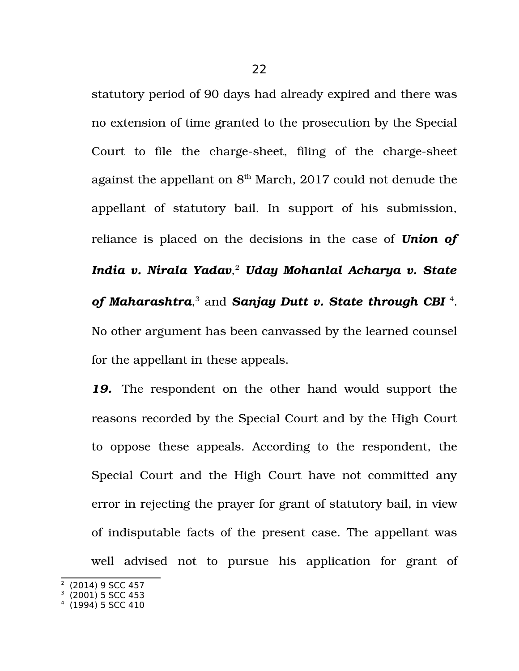statutory period of 90 days had already expired and there was no extension of time granted to the prosecution by the Special Court to file the charge-sheet, filing of the charge-sheet against the appellant on  $8<sup>th</sup>$  March, 2017 could not denude the appellant of statutory bail. In support of his submission, reliance is placed on the decisions in the case of *Union of India v. Nirala Yadav*, [2](#page-21-0) *Uday Mohanlal Acharya v. State* of Maharashtra,<sup>[3](#page-21-1)</sup> and Sanjay Dutt v. State through CBI<sup>[4](#page-21-2)</sup>. No other argument has been canvassed by the learned counsel for the appellant in these appeals.

*19.* The respondent on the other hand would support the reasons recorded by the Special Court and by the High Court to oppose these appeals. According to the respondent, the Special Court and the High Court have not committed any error in rejecting the prayer for grant of statutory bail, in view of indisputable facts of the present case. The appellant was well advised not to pursue his application for grant of

<span id="page-21-0"></span>2 (2014) 9 SCC 457

<span id="page-21-1"></span><sup>3</sup> (2001) 5 SCC 453

<span id="page-21-2"></span><sup>4</sup> (1994) 5 SCC 410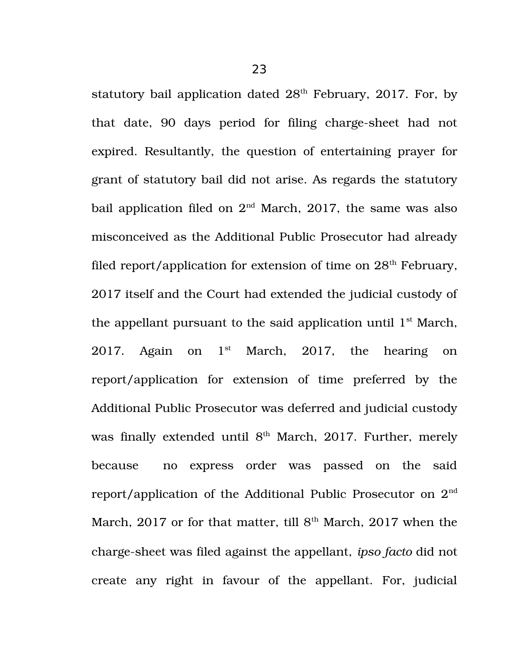statutory bail application dated  $28<sup>th</sup>$  February, 2017. For, by that date, 90 days period for filing charge-sheet had not expired. Resultantly, the question of entertaining prayer for grant of statutory bail did not arise. As regards the statutory bail application filed on  $2<sup>nd</sup>$  March, 2017, the same was also misconceived as the Additional Public Prosecutor had already filed report/application for extension of time on  $28<sup>th</sup>$  February, 2017 itself and the Court had extended the judicial custody of the appellant pursuant to the said application until  $1<sup>st</sup>$  March, 2017. Again on  $1<sup>st</sup>$  March, 2017, the hearing on report/application for extension of time preferred by the Additional Public Prosecutor was deferred and judicial custody was finally extended until 8<sup>th</sup> March, 2017. Further, merely because no express order was passed on the said report/application of the Additional Public Prosecutor on 2nd March, 2017 or for that matter, till  $8<sup>th</sup>$  March, 2017 when the charge-sheet was filed against the appellant, *ipso facto* did not create any right in favour of the appellant. For, judicial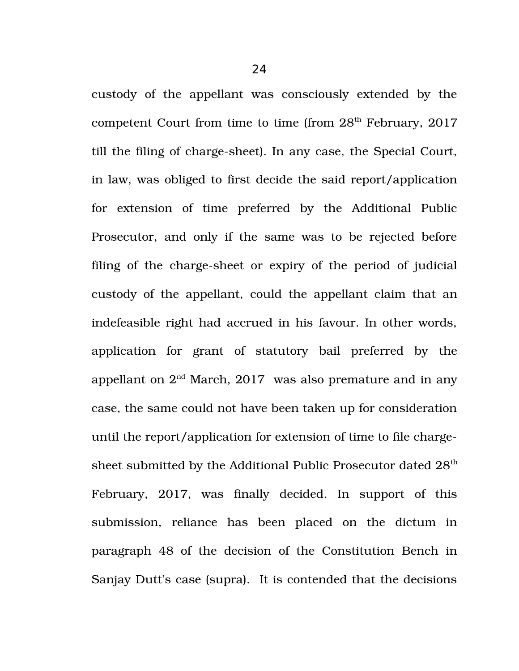custody of the appellant was consciously extended by the competent Court from time to time (from  $28<sup>th</sup>$  February, 2017 till the filing of charge-sheet). In any case, the Special Court, in law, was obliged to first decide the said report/application for extension of time preferred by the Additional Public Prosecutor, and only if the same was to be rejected before filing of the charge-sheet or expiry of the period of judicial custody of the appellant, could the appellant claim that an indefeasible right had accrued in his favour. In other words, application for grant of statutory bail preferred by the appellant on  $2<sup>nd</sup>$  March, 2017 was also premature and in any case, the same could not have been taken up for consideration until the report/application for extension of time to file chargesheet submitted by the Additional Public Prosecutor dated 28<sup>th</sup> February, 2017, was finally decided. In support of this submission, reliance has been placed on the dictum in paragraph 48 of the decision of the Constitution Bench in Sanjay Dutt's case (supra). It is contended that the decisions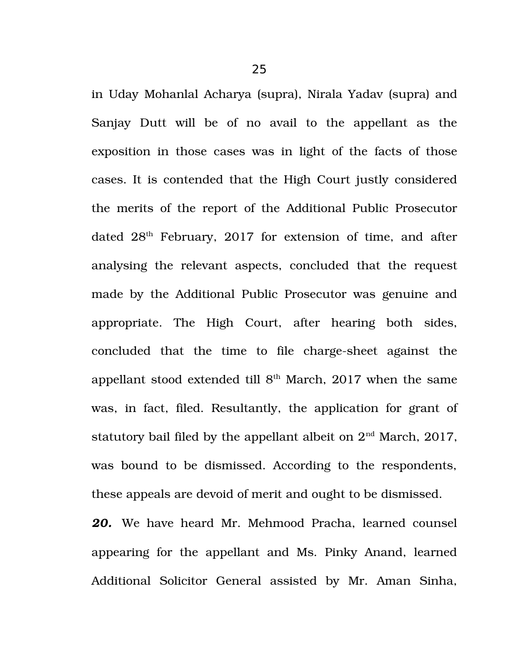in Uday Mohanlal Acharya (supra), Nirala Yadav (supra) and Sanjay Dutt will be of no avail to the appellant as the exposition in those cases was in light of the facts of those cases. It is contended that the High Court justly considered the merits of the report of the Additional Public Prosecutor dated  $28<sup>th</sup>$  February, 2017 for extension of time, and after analysing the relevant aspects, concluded that the request made by the Additional Public Prosecutor was genuine and appropriate. The High Court, after hearing both sides, concluded that the time to file charge-sheet against the appellant stood extended till  $8<sup>th</sup>$  March, 2017 when the same was, in fact, filed. Resultantly, the application for grant of statutory bail filed by the appellant albeit on  $2<sup>nd</sup>$  March, 2017, was bound to be dismissed. According to the respondents, these appeals are devoid of merit and ought to be dismissed.

*20.* We have heard Mr. Mehmood Pracha, learned counsel appearing for the appellant and Ms. Pinky Anand, learned Additional Solicitor General assisted by Mr. Aman Sinha,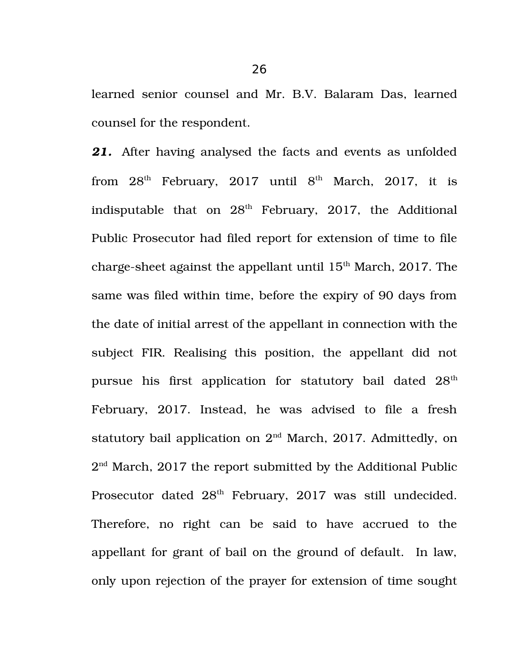learned senior counsel and Mr. B.V. Balaram Das, learned counsel for the respondent.

*21.* After having analysed the facts and events as unfolded from  $28<sup>th</sup>$  February,  $2017$  until  $8<sup>th</sup>$  March,  $2017$ , it is indisputable that on  $28<sup>th</sup>$  February, 2017, the Additional Public Prosecutor had filed report for extension of time to file charge-sheet against the appellant until  $15<sup>th</sup>$  March, 2017. The same was filed within time, before the expiry of 90 days from the date of initial arrest of the appellant in connection with the subject FIR. Realising this position, the appellant did not pursue his first application for statutory bail dated  $28<sup>th</sup>$ February, 2017. Instead, he was advised to file a fresh statutory bail application on  $2<sup>nd</sup>$  March, 2017. Admittedly, on  $2<sup>nd</sup> March, 2017$  the report submitted by the Additional Public Prosecutor dated  $28<sup>th</sup>$  February, 2017 was still undecided. Therefore, no right can be said to have accrued to the appellant for grant of bail on the ground of default. In law, only upon rejection of the prayer for extension of time sought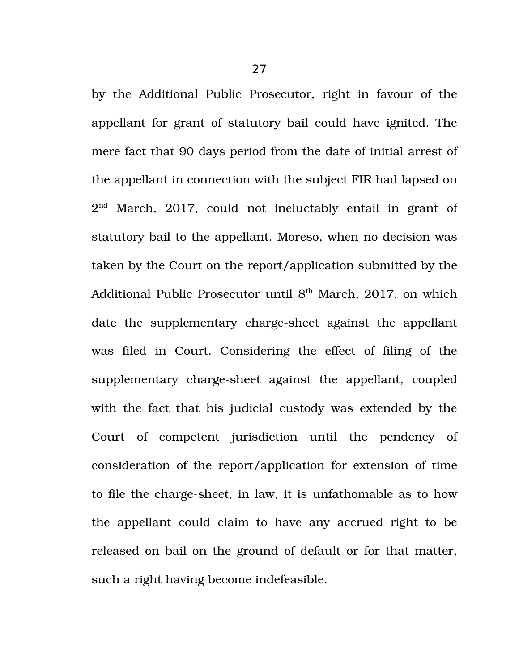by the Additional Public Prosecutor, right in favour of the appellant for grant of statutory bail could have ignited. The mere fact that 90 days period from the date of initial arrest of the appellant in connection with the subject FIR had lapsed on  $2<sup>nd</sup>$  March, 2017, could not ineluctably entail in grant of statutory bail to the appellant. Moreso, when no decision was taken by the Court on the report/application submitted by the Additional Public Prosecutor until  $8<sup>th</sup>$  March, 2017, on which date the supplementary charge-sheet against the appellant was filed in Court. Considering the effect of filing of the supplementary charge-sheet against the appellant, coupled with the fact that his judicial custody was extended by the Court of competent jurisdiction until the pendency of consideration of the report/application for extension of time to file the charge-sheet, in law, it is unfathomable as to how the appellant could claim to have any accrued right to be released on bail on the ground of default or for that matter, such a right having become indefeasible.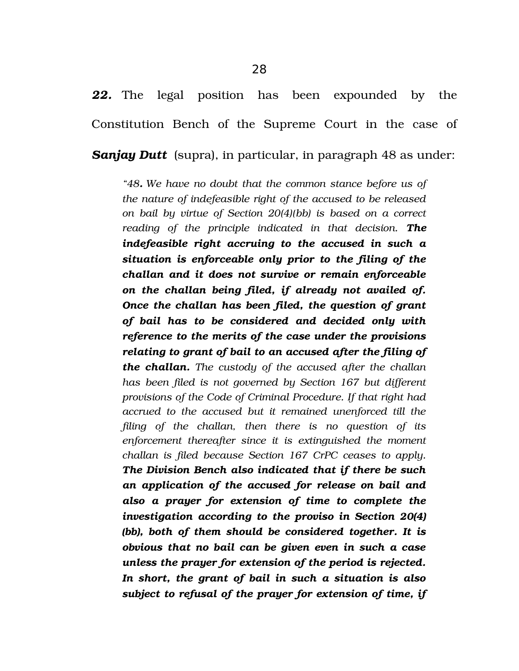*Sanjay Dutt* (supra), in particular, in paragraph 48 as under:

*"48. We have no doubt that the common stance before us of the nature of indefeasible right of the accused to be released on bail by virtue of Section 20(4)(bb) is based on a correct reading of the principle indicated in that decision. The indefeasible right accruing to the accused in such a situation is enforceable only prior to the filing of the challan and it does not survive or remain enforceable on the challan being filed, if already not availed of. Once the challan has been filed, the question of grant of bail has to be considered and decided only with reference to the merits of the case under the provisions relating to grant of bail to an accused after the filing of the challan. The custody of the accused after the challan has been filed is not governed by Section 167 but different provisions of the Code of Criminal Procedure. If that right had accrued to the accused but it remained unenforced till the filing of the challan, then there is no question of its enforcement thereafter since it is extinguished the moment challan is filed because Section 167 CrPC ceases to apply. The Division Bench also indicated that if there be such an application of the accused for release on bail and also a prayer for extension of time to complete the investigation according to the proviso in Section 20(4) (bb), both of them should be considered together. It is obvious that no bail can be given even in such a case unless the prayer for extension of the period is rejected. In short, the grant of bail in such a situation is also subject to refusal of the prayer for extension of time, if*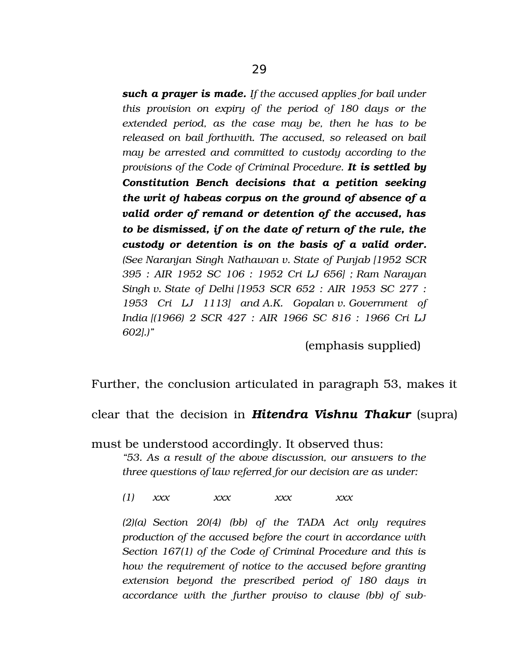*such a prayer is made. If the accused applies for bail under this provision on expiry of the period of 180 days or the extended period, as the case may be, then he has to be released on bail forthwith. The accused, so released on bail may be arrested and committed to custody according to the provisions of the Code of Criminal Procedure. It is settled by Constitution Bench decisions that a petition seeking the writ of habeas corpus on the ground of absence of a valid order of remand or detention of the accused, has to be dismissed, if on the date of return of the rule, the custody or detention is on the basis of a valid order. (See Naranjan Singh Nathawan v. State of Punjab [1952 SCR 395 : AIR 1952 SC 106 : 1952 Cri LJ 656] ; Ram Narayan Singh v. State of Delhi [1953 SCR 652 : AIR 1953 SC 277 : 1953 Cri LJ 1113] and A.K. Gopalan v. Government of India [(1966) 2 SCR 427 : AIR 1966 SC 816 : 1966 Cri LJ 602].)"*

(emphasis supplied)

Further, the conclusion articulated in paragraph 53, makes it

clear that the decision in *Hitendra Vishnu Thakur* (supra)

must be understood accordingly. It observed thus: *"53. As a result of the above discussion, our answers to the three questions of law referred for our decision are as under:*

*(1) xxx xxx xxx xxx*

*(2)(a) Section 20(4) (bb) of the TADA Act only requires production of the accused before the court in accordance with Section 167(1) of the Code of Criminal Procedure and this is how the requirement of notice to the accused before granting extension beyond the prescribed period of 180 days in accordance with the further proviso to clause (bb) of sub*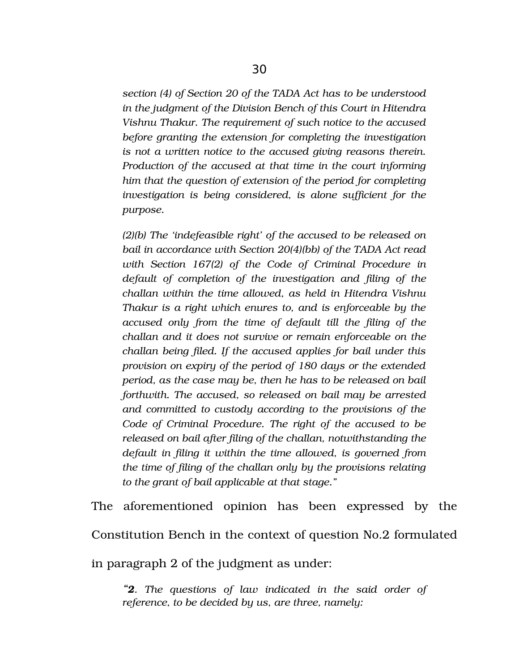*section (4) of Section 20 of the TADA Act has to be understood in the judgment of the Division Bench of this Court in Hitendra Vishnu Thakur. The requirement of such notice to the accused before granting the extension for completing the investigation is not a written notice to the accused giving reasons therein. Production of the accused at that time in the court informing him that the question of extension of the period for completing investigation is being considered, is alone sufficient for the purpose.* 

*(2)(b) The 'indefeasible right' of the accused to be released on bail in accordance with Section 20(4)(bb) of the TADA Act read with Section 167(2) of the Code of Criminal Procedure in default of completion of the investigation and filing of the challan within the time allowed, as held in Hitendra Vishnu Thakur is a right which enures to, and is enforceable by the accused only from the time of default till the filing of the challan and it does not survive or remain enforceable on the challan being filed. If the accused applies for bail under this provision on expiry of the period of 180 days or the extended period, as the case may be, then he has to be released on bail forthwith. The accused, so released on bail may be arrested and committed to custody according to the provisions of the Code of Criminal Procedure. The right of the accused to be released on bail after filing of the challan, notwithstanding the default in filing it within the time allowed, is governed from the time of filing of the challan only by the provisions relating to the grant of bail applicable at that stage."* 

The aforementioned opinion has been expressed by the Constitution Bench in the context of question No.2 formulated in paragraph 2 of the judgment as under:

*"2. The questions of law indicated in the said order of reference, to be decided by us, are three, namely:*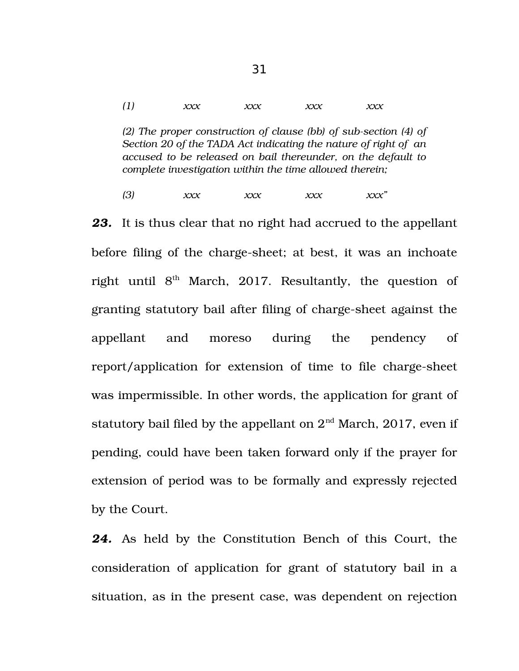*(1) xxx xxx xxx xxx*

*(2) The proper construction of clause (bb) of sub-section (4) of Section 20 of the TADA Act indicating the nature of right of an accused to be released on bail thereunder, on the default to complete investigation within the time allowed therein;* 

*(3) xxx xxx xxx xxx" 23.* It is thus clear that no right had accrued to the appellant before filing of the charge-sheet; at best, it was an inchoate right until  $8<sup>th</sup>$  March, 2017. Resultantly, the question of granting statutory bail after filing of charge-sheet against the appellant and moreso during the pendency of report/application for extension of time to file charge-sheet was impermissible. In other words, the application for grant of statutory bail filed by the appellant on  $2<sup>nd</sup>$  March, 2017, even if pending, could have been taken forward only if the prayer for extension of period was to be formally and expressly rejected by the Court.

*24.* As held by the Constitution Bench of this Court, the consideration of application for grant of statutory bail in a situation, as in the present case, was dependent on rejection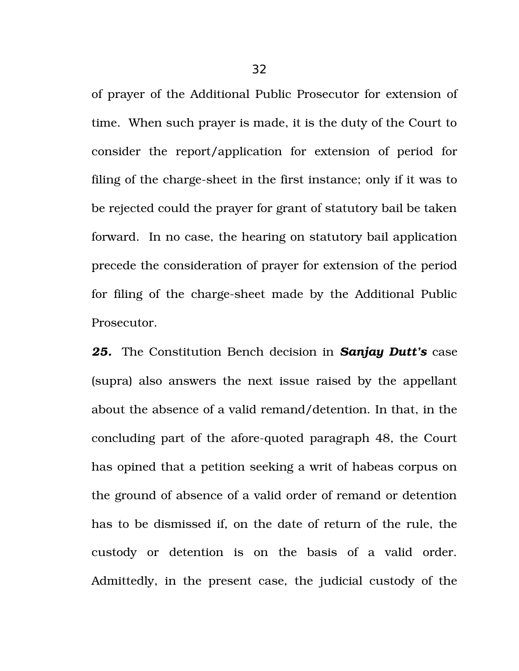of prayer of the Additional Public Prosecutor for extension of time. When such prayer is made, it is the duty of the Court to consider the report/application for extension of period for filing of the charge-sheet in the first instance; only if it was to be rejected could the prayer for grant of statutory bail be taken forward. In no case, the hearing on statutory bail application precede the consideration of prayer for extension of the period for filing of the charge-sheet made by the Additional Public Prosecutor.

*25.* The Constitution Bench decision in *Sanjay Dutt's* case (supra) also answers the next issue raised by the appellant about the absence of a valid remand/detention. In that, in the concluding part of the afore-quoted paragraph 48, the Court has opined that a petition seeking a writ of habeas corpus on the ground of absence of a valid order of remand or detention has to be dismissed if, on the date of return of the rule, the custody or detention is on the basis of a valid order. Admittedly, in the present case, the judicial custody of the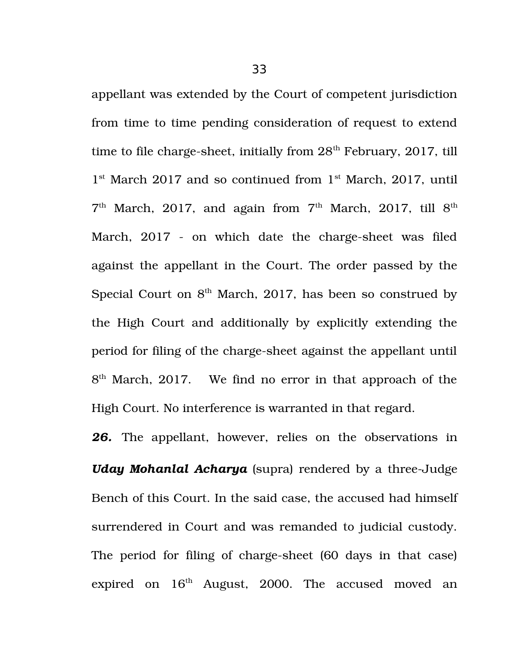appellant was extended by the Court of competent jurisdiction from time to time pending consideration of request to extend time to file charge-sheet, initially from  $28<sup>th</sup>$  February, 2017, till 1<sup>st</sup> March 2017 and so continued from 1<sup>st</sup> March, 2017, until  $7<sup>th</sup>$  March, 2017, and again from  $7<sup>th</sup>$  March, 2017, till  $8<sup>th</sup>$ March, 2017 - on which date the charge-sheet was filed against the appellant in the Court. The order passed by the Special Court on  $8<sup>th</sup>$  March, 2017, has been so construed by the High Court and additionally by explicitly extending the period for filing of the charge-sheet against the appellant until 8<sup>th</sup> March, 2017. We find no error in that approach of the High Court. No interference is warranted in that regard.

26. The appellant, however, relies on the observations in *Uday Mohanlal Acharya* (supra) rendered by a three-Judge Bench of this Court. In the said case, the accused had himself surrendered in Court and was remanded to judicial custody. The period for filing of charge-sheet (60 days in that case) expired on  $16<sup>th</sup>$  August, 2000. The accused moved an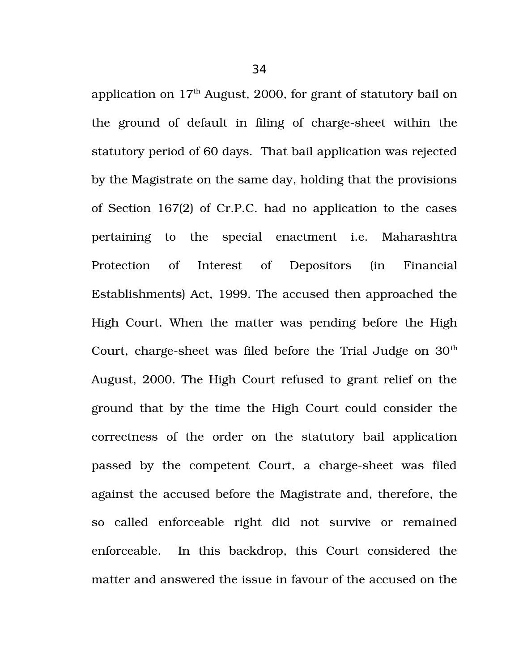application on  $17<sup>th</sup>$  August, 2000, for grant of statutory bail on the ground of default in filing of charge-sheet within the statutory period of 60 days. That bail application was rejected by the Magistrate on the same day, holding that the provisions of Section 167(2) of Cr.P.C. had no application to the cases pertaining to the special enactment i.e. Maharashtra Protection of Interest of Depositors (in Financial Establishments) Act, 1999. The accused then approached the

High Court. When the matter was pending before the High Court, charge-sheet was filed before the Trial Judge on  $30<sup>th</sup>$ August, 2000. The High Court refused to grant relief on the ground that by the time the High Court could consider the correctness of the order on the statutory bail application passed by the competent Court, a charge-sheet was filed against the accused before the Magistrate and, therefore, the so called enforceable right did not survive or remained enforceable. In this backdrop, this Court considered the matter and answered the issue in favour of the accused on the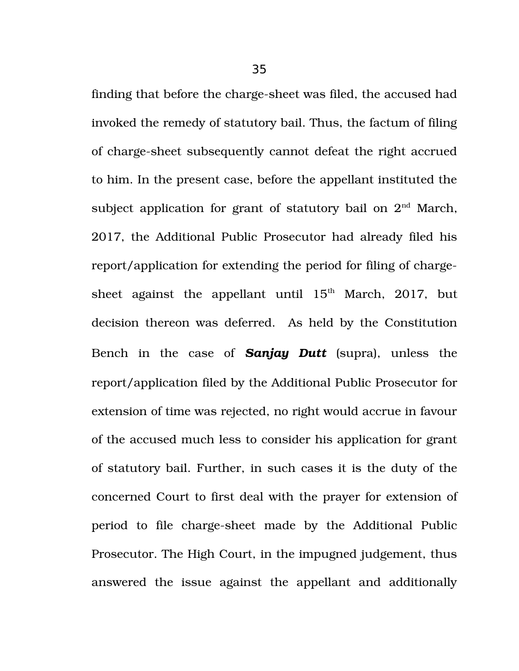finding that before the charge-sheet was filed, the accused had invoked the remedy of statutory bail. Thus, the factum of filing of charge-sheet subsequently cannot defeat the right accrued to him. In the present case, before the appellant instituted the subject application for grant of statutory bail on  $2<sup>nd</sup>$  March, 2017, the Additional Public Prosecutor had already filed his report/application for extending the period for filing of chargesheet against the appellant until  $15<sup>th</sup>$  March, 2017, but decision thereon was deferred. As held by the Constitution Bench in the case of *Sanjay Dutt* (supra), unless the report/application filed by the Additional Public Prosecutor for extension of time was rejected, no right would accrue in favour of the accused much less to consider his application for grant of statutory bail. Further, in such cases it is the duty of the concerned Court to first deal with the prayer for extension of period to file charge-sheet made by the Additional Public Prosecutor. The High Court, in the impugned judgement, thus answered the issue against the appellant and additionally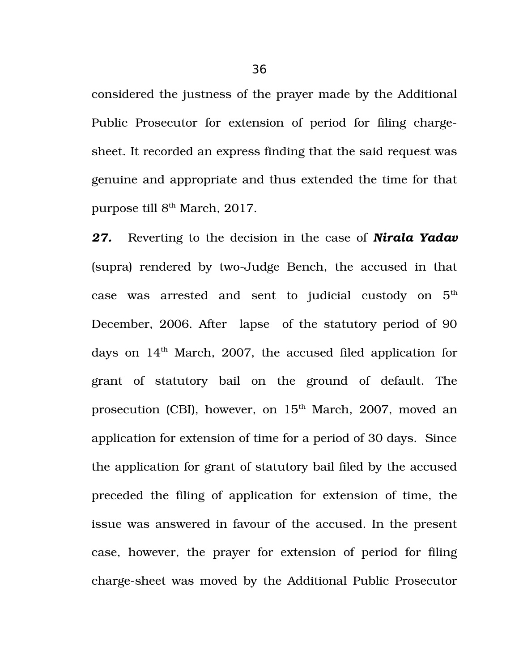considered the justness of the prayer made by the Additional Public Prosecutor for extension of period for filing chargesheet. It recorded an express finding that the said request was genuine and appropriate and thus extended the time for that purpose till 8<sup>th</sup> March, 2017.

*27.* Reverting to the decision in the case of *Nirala Yadav* (supra) rendered by two-Judge Bench, the accused in that case was arrested and sent to judicial custody on  $5<sup>th</sup>$ December, 2006. After lapse of the statutory period of 90 days on  $14<sup>th</sup>$  March, 2007, the accused filed application for grant of statutory bail on the ground of default. The prosecution (CBI), however, on  $15<sup>th</sup>$  March, 2007, moved an application for extension of time for a period of 30 days. Since the application for grant of statutory bail filed by the accused preceded the filing of application for extension of time, the issue was answered in favour of the accused. In the present case, however, the prayer for extension of period for filing charge-sheet was moved by the Additional Public Prosecutor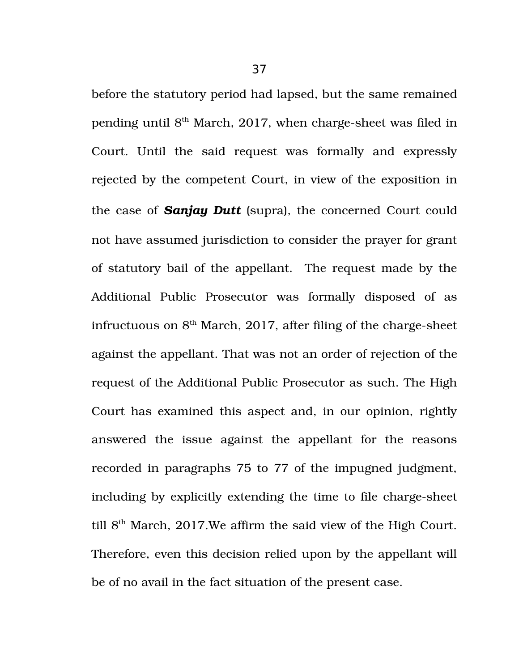before the statutory period had lapsed, but the same remained pending until  $8<sup>th</sup>$  March, 2017, when charge-sheet was filed in Court. Until the said request was formally and expressly rejected by the competent Court, in view of the exposition in the case of *Sanjay Dutt* (supra), the concerned Court could not have assumed jurisdiction to consider the prayer for grant of statutory bail of the appellant. The request made by the Additional Public Prosecutor was formally disposed of as infructuous on  $8<sup>th</sup>$  March, 2017, after filing of the charge-sheet against the appellant. That was not an order of rejection of the request of the Additional Public Prosecutor as such. The High Court has examined this aspect and, in our opinion, rightly answered the issue against the appellant for the reasons recorded in paragraphs 75 to 77 of the impugned judgment, including by explicitly extending the time to file charge-sheet till  $8<sup>th</sup>$  March, 2017. We affirm the said view of the High Court. Therefore, even this decision relied upon by the appellant will be of no avail in the fact situation of the present case.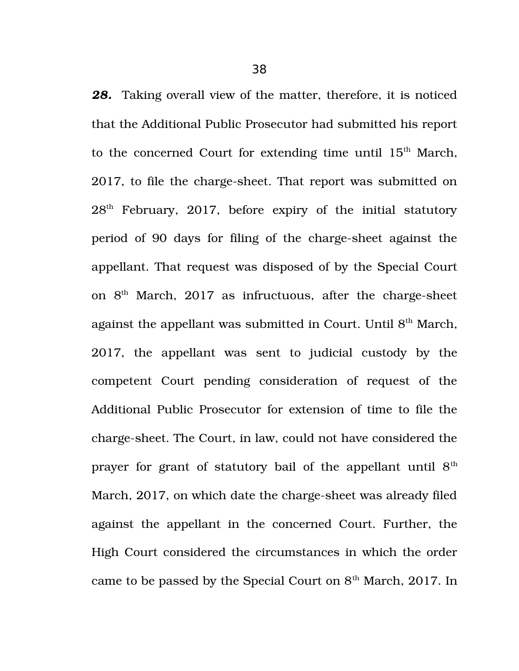*28.* Taking overall view of the matter, therefore, it is noticed that the Additional Public Prosecutor had submitted his report to the concerned Court for extending time until  $15<sup>th</sup>$  March, 2017, to file the charge-sheet. That report was submitted on 28<sup>th</sup> February, 2017, before expiry of the initial statutory period of 90 days for filing of the charge-sheet against the appellant. That request was disposed of by the Special Court on  $8<sup>th</sup>$  March, 2017 as infructuous, after the charge-sheet against the appellant was submitted in Court. Until 8<sup>th</sup> March, 2017, the appellant was sent to judicial custody by the competent Court pending consideration of request of the Additional Public Prosecutor for extension of time to file the charge-sheet. The Court, in law, could not have considered the prayer for grant of statutory bail of the appellant until  $8<sup>th</sup>$ March, 2017, on which date the charge-sheet was already filed against the appellant in the concerned Court. Further, the High Court considered the circumstances in which the order came to be passed by the Special Court on  $8<sup>th</sup>$  March, 2017. In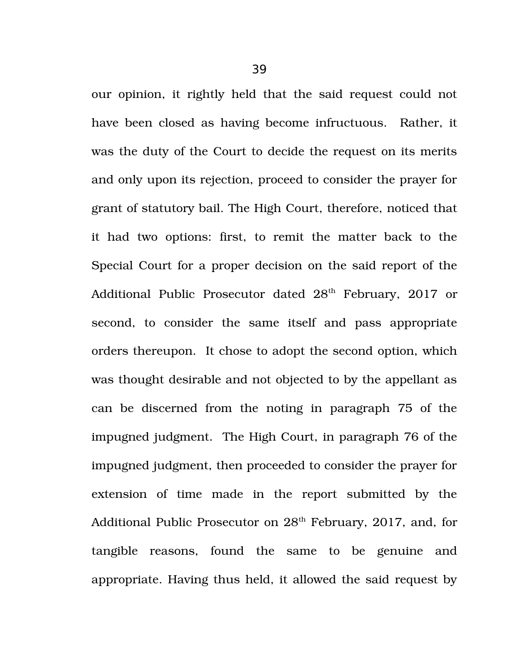our opinion, it rightly held that the said request could not have been closed as having become infructuous. Rather, it was the duty of the Court to decide the request on its merits and only upon its rejection, proceed to consider the prayer for grant of statutory bail. The High Court, therefore, noticed that it had two options: first, to remit the matter back to the Special Court for a proper decision on the said report of the Additional Public Prosecutor dated 28<sup>th</sup> February, 2017 or second, to consider the same itself and pass appropriate orders thereupon. It chose to adopt the second option, which was thought desirable and not objected to by the appellant as can be discerned from the noting in paragraph 75 of the impugned judgment. The High Court, in paragraph 76 of the impugned judgment, then proceeded to consider the prayer for extension of time made in the report submitted by the Additional Public Prosecutor on  $28<sup>th</sup>$  February, 2017, and, for tangible reasons, found the same to be genuine and appropriate. Having thus held, it allowed the said request by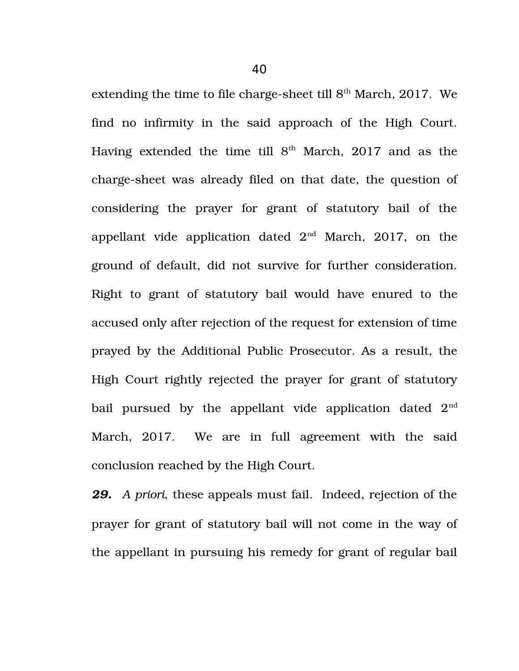extending the time to file charge-sheet till  $8<sup>th</sup>$  March, 2017. We find no infirmity in the said approach of the High Court. Having extended the time till  $8<sup>th</sup>$  March, 2017 and as the charge-sheet was already filed on that date, the question of considering the prayer for grant of statutory bail of the appellant vide application dated  $2<sup>nd</sup>$  March, 2017, on the ground of default, did not survive for further consideration. Right to grant of statutory bail would have enured to the accused only after rejection of the request for extension of time prayed by the Additional Public Prosecutor. As a result, the High Court rightly rejected the prayer for grant of statutory bail pursued by the appellant vide application dated  $2<sup>nd</sup>$ March, 2017. We are in full agreement with the said conclusion reached by the High Court.

*29. A priori*, these appeals must fail. Indeed, rejection of the prayer for grant of statutory bail will not come in the way of the appellant in pursuing his remedy for grant of regular bail